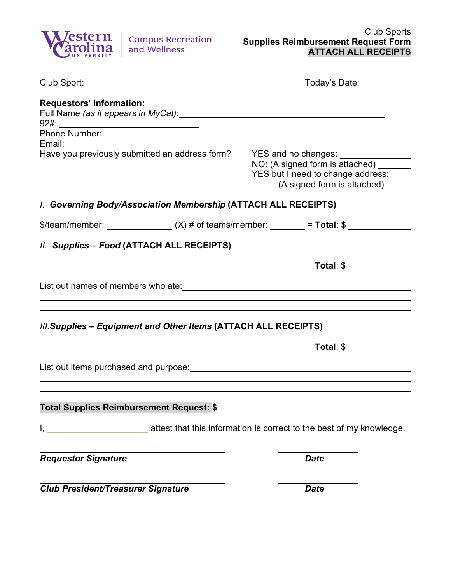

|                                                                                                                                                                                                                                                                   | Today's Date: The Controller Controller                                                                                                   |  |  |  |
|-------------------------------------------------------------------------------------------------------------------------------------------------------------------------------------------------------------------------------------------------------------------|-------------------------------------------------------------------------------------------------------------------------------------------|--|--|--|
| <b>Requestors' Information:</b><br>Full Name (as it appears in MyCat): Manual Communication of the Communication of the Communication of the Communication of the Communication of the Communication of the Communication of the Communication of the Communicati |                                                                                                                                           |  |  |  |
|                                                                                                                                                                                                                                                                   |                                                                                                                                           |  |  |  |
| Have you previously submitted an address form?                                                                                                                                                                                                                    | YES and no changes: ________<br>NO: (A signed form is attached) ___<br>YES but I need to change address:<br>(A signed form is attached) _ |  |  |  |
| I. Governing Body/Association Membership (ATTACH ALL RECEIPTS)                                                                                                                                                                                                    |                                                                                                                                           |  |  |  |
| \$/team/member: ________________(X) # of teams/member: _______ = Total: $\frac{1}{2}$                                                                                                                                                                             |                                                                                                                                           |  |  |  |
| II. Supplies - Food (ATTACH ALL RECEIPTS)                                                                                                                                                                                                                         |                                                                                                                                           |  |  |  |
|                                                                                                                                                                                                                                                                   |                                                                                                                                           |  |  |  |
|                                                                                                                                                                                                                                                                   |                                                                                                                                           |  |  |  |
|                                                                                                                                                                                                                                                                   |                                                                                                                                           |  |  |  |
| III. Supplies - Equipment and Other Items (ATTACH ALL RECEIPTS)                                                                                                                                                                                                   |                                                                                                                                           |  |  |  |
|                                                                                                                                                                                                                                                                   |                                                                                                                                           |  |  |  |
|                                                                                                                                                                                                                                                                   |                                                                                                                                           |  |  |  |
|                                                                                                                                                                                                                                                                   |                                                                                                                                           |  |  |  |
| <b>Total Supplies Reimbursement Request: \$</b>                                                                                                                                                                                                                   |                                                                                                                                           |  |  |  |
| I, 1. Also provide that this information is correct to the best of my knowledge.                                                                                                                                                                                  |                                                                                                                                           |  |  |  |
| <b>Requestor Signature</b>                                                                                                                                                                                                                                        | <b>Date</b>                                                                                                                               |  |  |  |
| <b>Club President/Treasurer Signature</b>                                                                                                                                                                                                                         | <b>Date</b>                                                                                                                               |  |  |  |